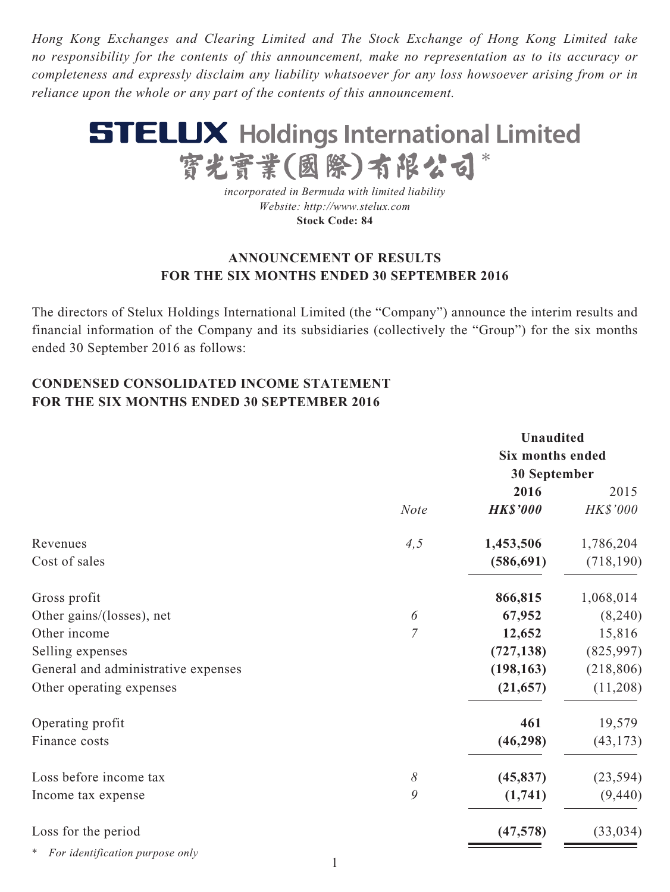*Hong Kong Exchanges and Clearing Limited and The Stock Exchange of Hong Kong Limited take no responsibility for the contents of this announcement, make no representation as to its accuracy or completeness and expressly disclaim any liability whatsoever for any loss howsoever arising from or in reliance upon the whole or any part of the contents of this announcement.*



*incorporated in Bermuda with limited liability Website: http://www.stelux.com* **Stock Code: 84**

### **ANNOUNCEMENT OF RESULTS FOR THE SIX MONTHS ENDED 30 SEPTEMBER 2016**

The directors of Stelux Holdings International Limited (the "Company") announce the interim results and financial information of the Company and its subsidiaries (collectively the "Group") for the six months ended 30 September 2016 as follows:

# **CONDENSED CONSOLIDATED INCOME STATEMENT FOR THE SIX MONTHS ENDED 30 SEPTEMBER 2016**

|                                     |                |                 | <b>Unaudited</b><br>Six months ended |  |
|-------------------------------------|----------------|-----------------|--------------------------------------|--|
|                                     |                | 30 September    |                                      |  |
|                                     |                | 2016            | 2015                                 |  |
|                                     | <b>Note</b>    | <b>HK\$'000</b> | HK\$'000                             |  |
| Revenues                            | 4, 5           | 1,453,506       | 1,786,204                            |  |
| Cost of sales                       |                | (586, 691)      | (718, 190)                           |  |
| Gross profit                        |                | 866,815         | 1,068,014                            |  |
| Other gains/(losses), net           | 6              | 67,952          | (8,240)                              |  |
| Other income                        | $\overline{7}$ | 12,652          | 15,816                               |  |
| Selling expenses                    |                | (727, 138)      | (825,997)                            |  |
| General and administrative expenses |                | (198, 163)      | (218, 806)                           |  |
| Other operating expenses            |                | (21, 657)       | (11,208)                             |  |
| Operating profit                    |                | 461             | 19,579                               |  |
| Finance costs                       |                | (46, 298)       | (43, 173)                            |  |
| Loss before income tax              | 8              | (45, 837)       | (23, 594)                            |  |
| Income tax expense                  | 9              | (1,741)         | (9, 440)                             |  |
| Loss for the period                 |                | (47, 578)       | (33, 034)                            |  |
| * For identification purpose only   |                |                 |                                      |  |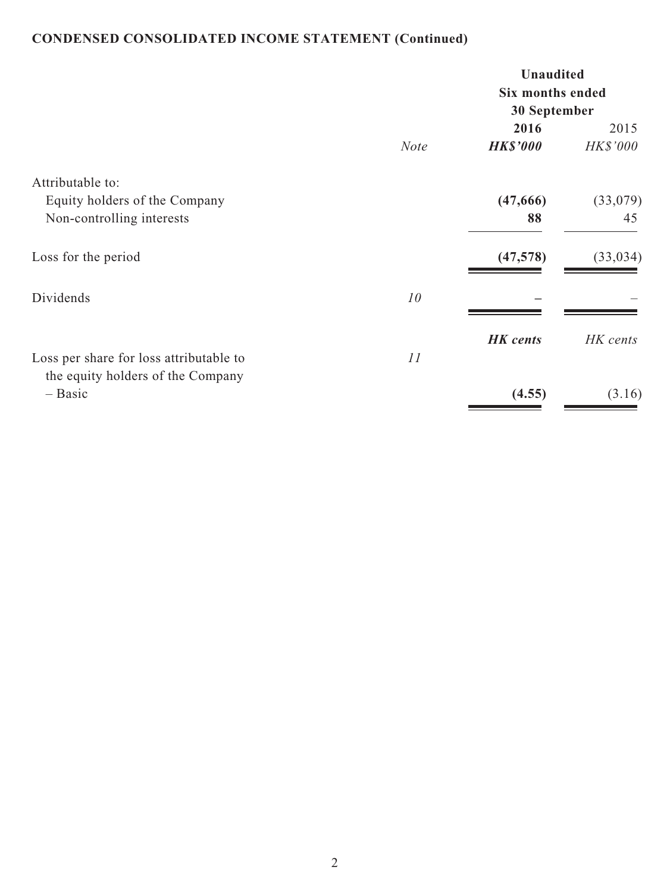# **CONDENSED CONSOLIDATED INCOME STATEMENT (Continued)**

|                                                                                |             | <b>Unaudited</b><br><b>Six months ended</b><br>30 September |                         |  |
|--------------------------------------------------------------------------------|-------------|-------------------------------------------------------------|-------------------------|--|
|                                                                                | <b>Note</b> | 2016<br><b>HK\$'000</b>                                     | 2015<br><b>HK\$'000</b> |  |
| Attributable to:<br>Equity holders of the Company<br>Non-controlling interests |             | (47,666)<br>88                                              | (33,079)<br>45          |  |
| Loss for the period                                                            |             | (47,578)                                                    | (33, 034)               |  |
| Dividends                                                                      | 10          |                                                             |                         |  |
| Loss per share for loss attributable to                                        | 11          | <b>HK</b> cents                                             | HK cents                |  |
| the equity holders of the Company<br>$-$ Basic                                 |             | (4.55)                                                      | (3.16)                  |  |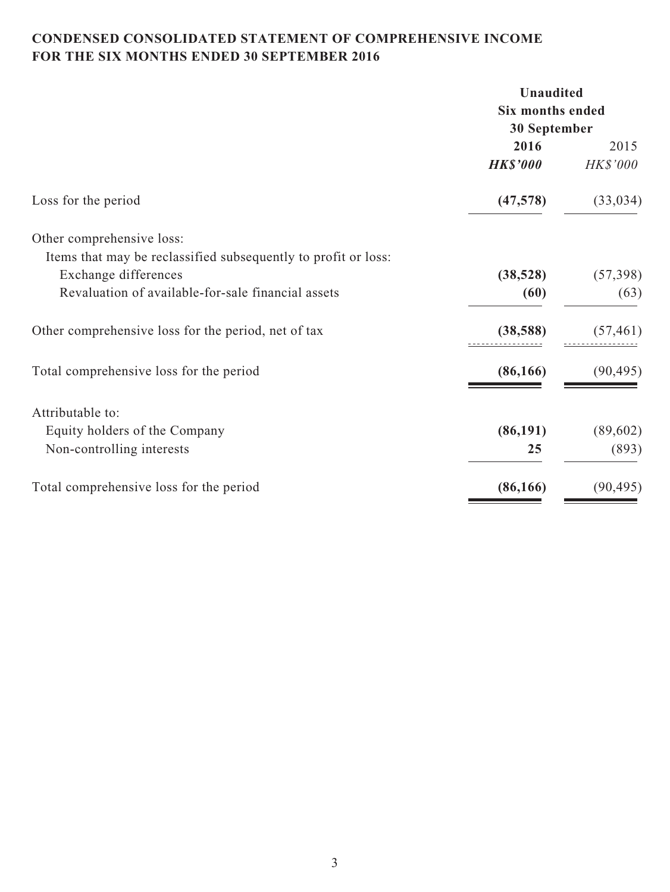# **CONDENSED CONSOLIDATED STATEMENT OF COMPREHENSIVE INCOME FOR THE SIX MONTHS ENDED 30 SEPTEMBER 2016**

| <b>Unaudited</b> |                                      |
|------------------|--------------------------------------|
|                  |                                      |
| 30 September     |                                      |
| 2016             | 2015                                 |
| <b>HK\$'000</b>  | HK\$'000                             |
| (47, 578)        | (33, 034)                            |
|                  |                                      |
|                  |                                      |
| (38, 528)        | (57, 398)                            |
| (60)             | (63)                                 |
| (38, 588)        | (57, 461)                            |
| (86, 166)        | (90, 495)                            |
|                  |                                      |
|                  | (89, 602)                            |
| 25               | (893)                                |
| (86, 166)        | (90, 495)                            |
|                  | <b>Six months ended</b><br>(86, 191) |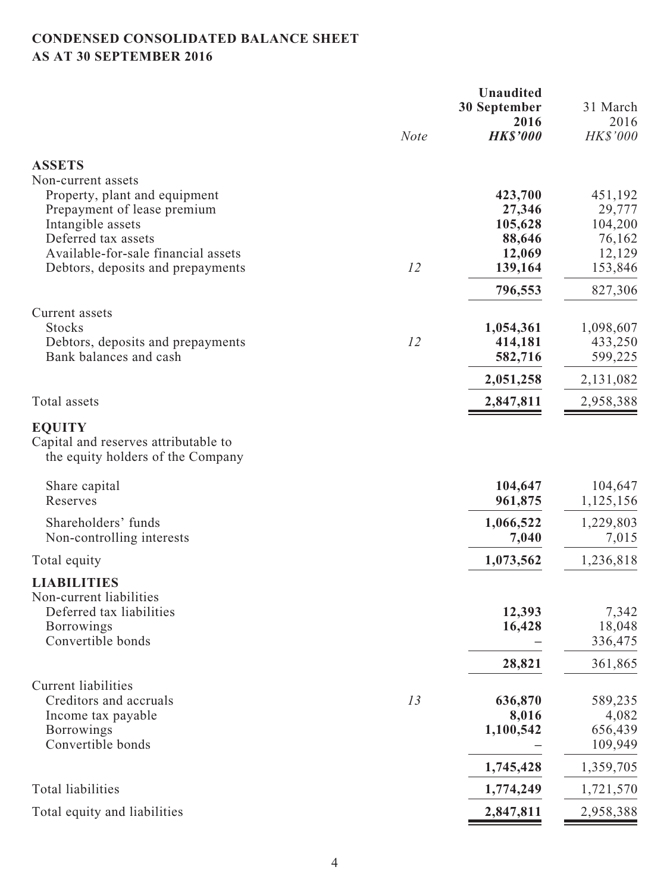# **CONDENSED CONSOLIDATED BALANCE SHEET AS AT 30 SEPTEMBER 2016**

|                                                                                                                     |             | <b>Unaudited</b><br><b>30 September</b> | 31 March                   |
|---------------------------------------------------------------------------------------------------------------------|-------------|-----------------------------------------|----------------------------|
|                                                                                                                     |             | 2016                                    | 2016                       |
|                                                                                                                     | <b>Note</b> | <b>HK\$'000</b>                         | HK\$'000                   |
| <b>ASSETS</b>                                                                                                       |             |                                         |                            |
| Non-current assets                                                                                                  |             |                                         |                            |
| Property, plant and equipment                                                                                       |             | 423,700                                 | 451,192                    |
| Prepayment of lease premium<br>Intangible assets                                                                    |             | 27,346<br>105,628                       | 29,777<br>104,200          |
| Deferred tax assets                                                                                                 |             | 88,646                                  | 76,162                     |
| Available-for-sale financial assets                                                                                 |             | 12,069                                  | 12,129                     |
| Debtors, deposits and prepayments                                                                                   | 12          | 139,164                                 | 153,846                    |
|                                                                                                                     |             | 796,553                                 | 827,306                    |
| Current assets                                                                                                      |             |                                         |                            |
| <b>Stocks</b>                                                                                                       | 12          | 1,054,361                               | 1,098,607                  |
| Debtors, deposits and prepayments<br>Bank balances and cash                                                         |             | 414,181<br>582,716                      | 433,250<br>599,225         |
|                                                                                                                     |             | 2,051,258                               | 2,131,082                  |
| Total assets                                                                                                        |             | 2,847,811                               | 2,958,388                  |
| <b>EQUITY</b><br>Capital and reserves attributable to<br>the equity holders of the Company                          |             |                                         |                            |
| Share capital<br>Reserves                                                                                           |             | 104,647<br>961,875                      | 104,647<br>1,125,156       |
| Shareholders' funds<br>Non-controlling interests                                                                    |             | 1,066,522<br>7,040                      | 1,229,803<br>7,015         |
| Total equity                                                                                                        |             | 1,073,562                               | 1,236,818                  |
| <b>LIABILITIES</b><br>Non-current liabilities<br>Deferred tax liabilities<br><b>Borrowings</b><br>Convertible bonds |             | 12,393<br>16,428                        | 7,342<br>18,048<br>336,475 |
|                                                                                                                     |             | 28,821                                  | 361,865                    |
| <b>Current liabilities</b>                                                                                          |             |                                         |                            |
| Creditors and accruals                                                                                              | 13          | 636,870                                 | 589,235                    |
| Income tax payable                                                                                                  |             | 8,016                                   | 4,082                      |
| <b>Borrowings</b>                                                                                                   |             | 1,100,542                               | 656,439                    |
| Convertible bonds                                                                                                   |             |                                         | 109,949                    |
|                                                                                                                     |             | 1,745,428                               | 1,359,705                  |
| Total liabilities                                                                                                   |             | 1,774,249                               | 1,721,570                  |
| Total equity and liabilities                                                                                        |             | 2,847,811                               | 2,958,388                  |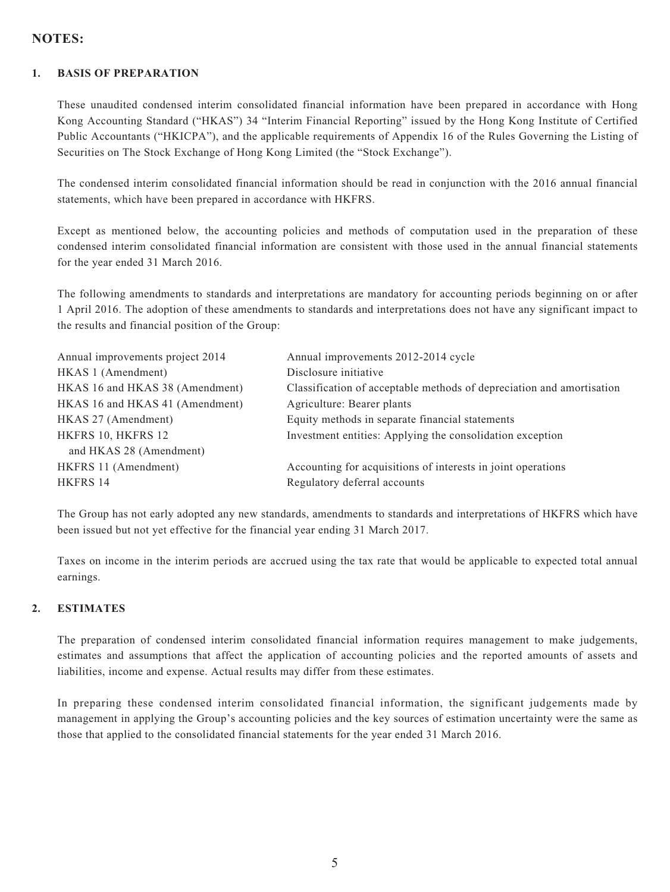### **NOTES:**

#### **1. BASIS OF PREPARATION**

These unaudited condensed interim consolidated financial information have been prepared in accordance with Hong Kong Accounting Standard ("HKAS") 34 "Interim Financial Reporting" issued by the Hong Kong Institute of Certified Public Accountants ("HKICPA"), and the applicable requirements of Appendix 16 of the Rules Governing the Listing of Securities on The Stock Exchange of Hong Kong Limited (the "Stock Exchange").

The condensed interim consolidated financial information should be read in conjunction with the 2016 annual financial statements, which have been prepared in accordance with HKFRS.

Except as mentioned below, the accounting policies and methods of computation used in the preparation of these condensed interim consolidated financial information are consistent with those used in the annual financial statements for the year ended 31 March 2016.

The following amendments to standards and interpretations are mandatory for accounting periods beginning on or after 1 April 2016. The adoption of these amendments to standards and interpretations does not have any significant impact to the results and financial position of the Group:

| Annual improvements project 2014 | Annual improvements 2012-2014 cycle                                   |
|----------------------------------|-----------------------------------------------------------------------|
| HKAS 1 (Amendment)               | Disclosure initiative                                                 |
| HKAS 16 and HKAS 38 (Amendment)  | Classification of acceptable methods of depreciation and amortisation |
| HKAS 16 and HKAS 41 (Amendment)  | Agriculture: Bearer plants                                            |
| HKAS 27 (Amendment)              | Equity methods in separate financial statements                       |
| HKFRS 10, HKFRS 12               | Investment entities: Applying the consolidation exception             |
| and HKAS 28 (Amendment)          |                                                                       |
| HKFRS 11 (Amendment)             | Accounting for acquisitions of interests in joint operations          |
| <b>HKFRS 14</b>                  | Regulatory deferral accounts                                          |
|                                  |                                                                       |

The Group has not early adopted any new standards, amendments to standards and interpretations of HKFRS which have been issued but not yet effective for the financial year ending 31 March 2017.

Taxes on income in the interim periods are accrued using the tax rate that would be applicable to expected total annual earnings.

#### **2. ESTIMATES**

The preparation of condensed interim consolidated financial information requires management to make judgements, estimates and assumptions that affect the application of accounting policies and the reported amounts of assets and liabilities, income and expense. Actual results may differ from these estimates.

In preparing these condensed interim consolidated financial information, the significant judgements made by management in applying the Group's accounting policies and the key sources of estimation uncertainty were the same as those that applied to the consolidated financial statements for the year ended 31 March 2016.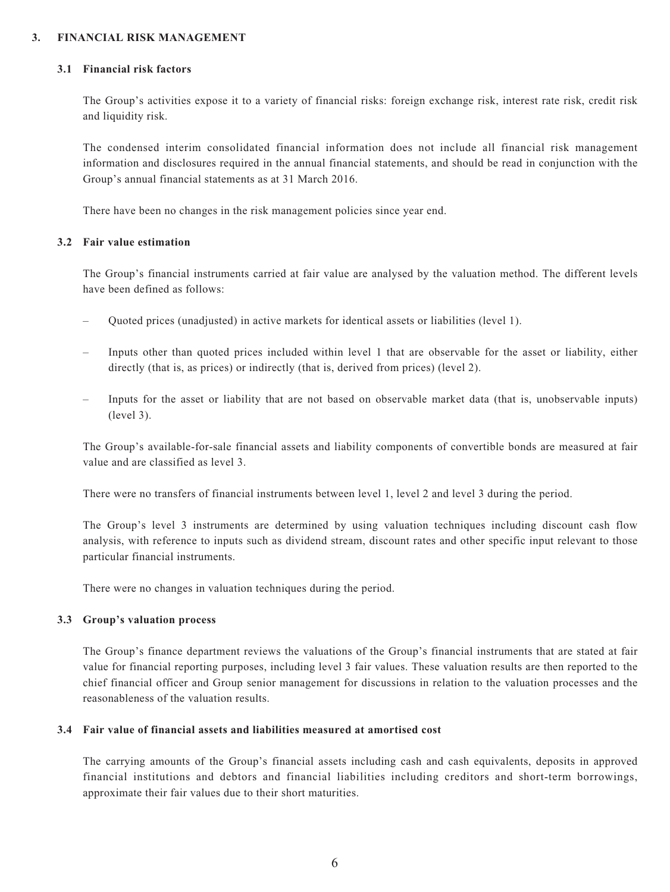#### **3. FINANCIAL RISK MANAGEMENT**

#### **3.1 Financial risk factors**

The Group's activities expose it to a variety of financial risks: foreign exchange risk, interest rate risk, credit risk and liquidity risk.

The condensed interim consolidated financial information does not include all financial risk management information and disclosures required in the annual financial statements, and should be read in conjunction with the Group's annual financial statements as at 31 March 2016.

There have been no changes in the risk management policies since year end.

#### **3.2 Fair value estimation**

The Group's financial instruments carried at fair value are analysed by the valuation method. The different levels have been defined as follows:

- Quoted prices (unadjusted) in active markets for identical assets or liabilities (level 1).
- Inputs other than quoted prices included within level 1 that are observable for the asset or liability, either directly (that is, as prices) or indirectly (that is, derived from prices) (level 2).
- Inputs for the asset or liability that are not based on observable market data (that is, unobservable inputs) (level 3).

The Group's available-for-sale financial assets and liability components of convertible bonds are measured at fair value and are classified as level 3.

There were no transfers of financial instruments between level 1, level 2 and level 3 during the period.

The Group's level 3 instruments are determined by using valuation techniques including discount cash flow analysis, with reference to inputs such as dividend stream, discount rates and other specific input relevant to those particular financial instruments.

There were no changes in valuation techniques during the period.

#### **3.3 Group's valuation process**

The Group's finance department reviews the valuations of the Group's financial instruments that are stated at fair value for financial reporting purposes, including level 3 fair values. These valuation results are then reported to the chief financial officer and Group senior management for discussions in relation to the valuation processes and the reasonableness of the valuation results.

#### **3.4 Fair value of financial assets and liabilities measured at amortised cost**

The carrying amounts of the Group's financial assets including cash and cash equivalents, deposits in approved financial institutions and debtors and financial liabilities including creditors and short-term borrowings, approximate their fair values due to their short maturities.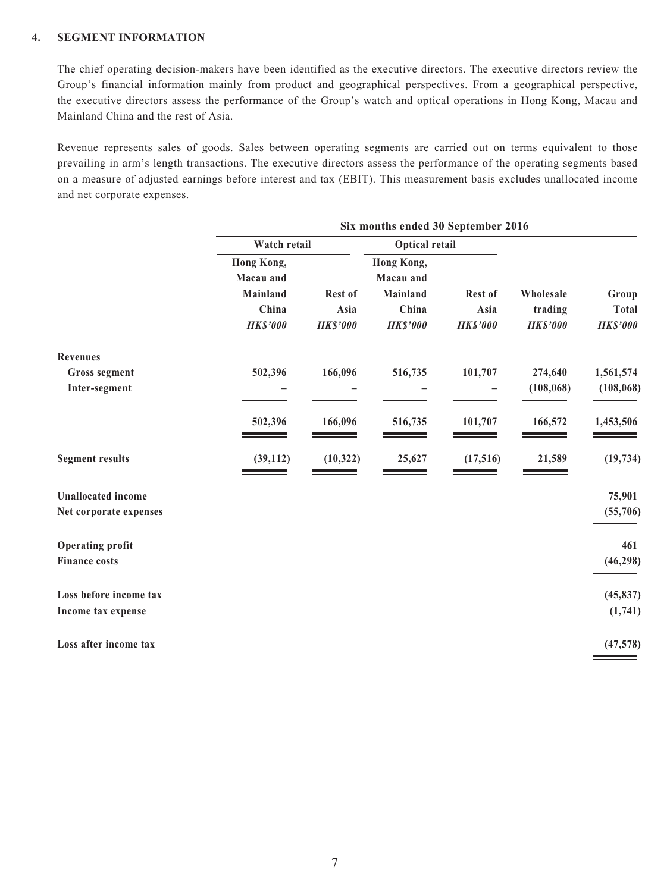#### **4. SEGMENT INFORMATION**

The chief operating decision-makers have been identified as the executive directors. The executive directors review the Group's financial information mainly from product and geographical perspectives. From a geographical perspective, the executive directors assess the performance of the Group's watch and optical operations in Hong Kong, Macau and Mainland China and the rest of Asia.

Revenue represents sales of goods. Sales between operating segments are carried out on terms equivalent to those prevailing in arm's length transactions. The executive directors assess the performance of the operating segments based on a measure of adjusted earnings before interest and tax (EBIT). This measurement basis excludes unallocated income and net corporate expenses.

|                           |                 | Six months ended 30 September 2016 |                       |                 |                 |                 |
|---------------------------|-----------------|------------------------------------|-----------------------|-----------------|-----------------|-----------------|
|                           | Watch retail    |                                    | <b>Optical retail</b> |                 |                 |                 |
|                           | Hong Kong,      |                                    | Hong Kong,            |                 |                 |                 |
|                           | Macau and       |                                    | Macau and             |                 |                 |                 |
|                           | Mainland        | Rest of                            | Mainland              | Rest of         | Wholesale       | Group           |
|                           | China           | Asia                               | China                 | Asia            | trading         | <b>Total</b>    |
|                           | <b>HK\$'000</b> | <b>HK\$'000</b>                    | <b>HK\$'000</b>       | <b>HK\$'000</b> | <b>HK\$'000</b> | <b>HK\$'000</b> |
| <b>Revenues</b>           |                 |                                    |                       |                 |                 |                 |
| <b>Gross segment</b>      | 502,396         | 166,096                            | 516,735               | 101,707         | 274,640         | 1,561,574       |
| Inter-segment             |                 |                                    |                       |                 | (108, 068)      | (108, 068)      |
|                           | 502,396         | 166,096                            | 516,735               | 101,707         | 166,572         | 1,453,506       |
| <b>Segment results</b>    | (39, 112)       | (10, 322)                          | 25,627                | (17, 516)       | 21,589          | (19, 734)       |
| <b>Unallocated</b> income |                 |                                    |                       |                 |                 | 75,901          |
| Net corporate expenses    |                 |                                    |                       |                 |                 | (55,706)        |
| <b>Operating profit</b>   |                 |                                    |                       |                 |                 | 461             |
| <b>Finance costs</b>      |                 |                                    |                       |                 |                 | (46, 298)       |
| Loss before income tax    |                 |                                    |                       |                 |                 | (45, 837)       |
| Income tax expense        |                 |                                    |                       |                 |                 | (1,741)         |
| Loss after income tax     |                 |                                    |                       |                 |                 | (47,578)        |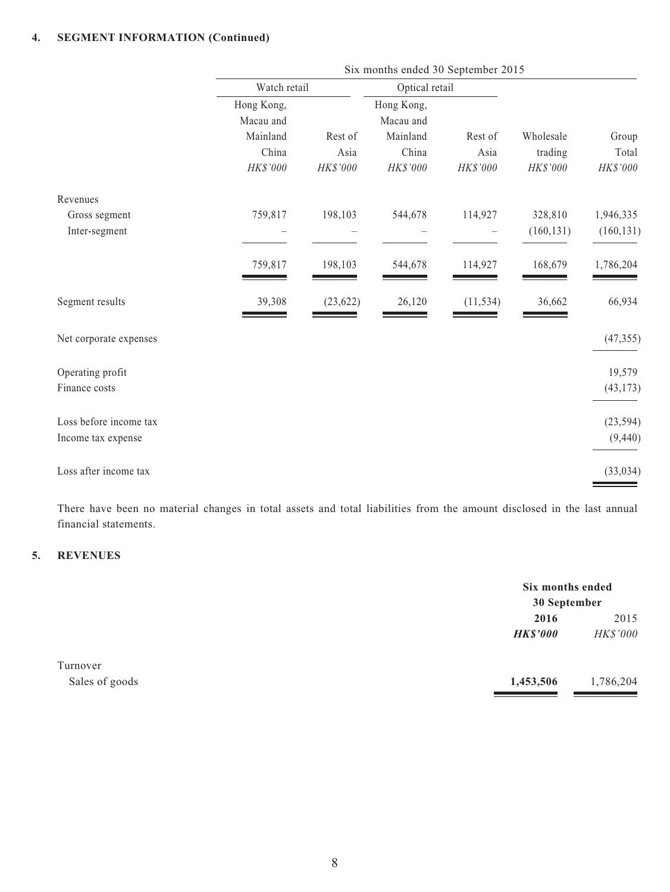#### **4. SEGMENT INFORMATION (Continued)**

|                        |              | Six months ended 30 September 2015 |                |           |            |            |
|------------------------|--------------|------------------------------------|----------------|-----------|------------|------------|
|                        | Watch retail |                                    | Optical retail |           |            |            |
|                        | Hong Kong,   |                                    | Hong Kong,     |           |            |            |
|                        | Macau and    |                                    | Macau and      |           |            |            |
|                        | Mainland     | Rest of                            | Mainland       | Rest of   | Wholesale  | Group      |
|                        | China        | Asia                               | China          | Asia      | trading    | Total      |
|                        | HK\$'000     | HK\$'000                           | HK\$'000       | HK\$'000  | HK\$'000   | HK\$'000   |
| Revenues               |              |                                    |                |           |            |            |
| Gross segment          | 759,817      | 198,103                            | 544,678        | 114,927   | 328,810    | 1,946,335  |
| Inter-segment          |              |                                    |                |           | (160, 131) | (160, 131) |
|                        | 759,817      | 198,103                            | 544,678        | 114,927   | 168,679    | 1,786,204  |
| Segment results        | 39,308       | (23, 622)                          | 26,120         | (11, 534) | 36,662     | 66,934     |
| Net corporate expenses |              |                                    |                |           |            | (47, 355)  |
| Operating profit       |              |                                    |                |           |            | 19,579     |
| Finance costs          |              |                                    |                |           |            | (43, 173)  |
| Loss before income tax |              |                                    |                |           |            | (23, 594)  |
| Income tax expense     |              |                                    |                |           |            | (9, 440)   |
| Loss after income tax  |              |                                    |                |           |            | (33, 034)  |

There have been no material changes in total assets and total liabilities from the amount disclosed in the last annual financial statements.

#### **5. REVENUES**

|                |                 | Six months ended<br>30 September |  |
|----------------|-----------------|----------------------------------|--|
|                | 2016            | 2015                             |  |
|                | <b>HK\$'000</b> | HK\$'000                         |  |
| Turnover       |                 |                                  |  |
| Sales of goods | 1,453,506       | 1,786,204                        |  |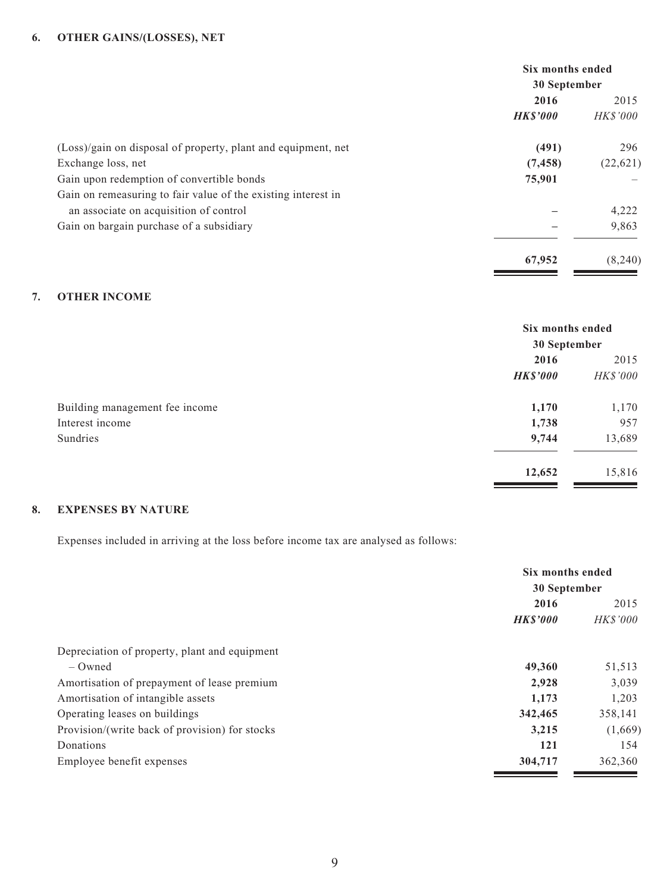|                                                               | Six months ended<br>30 September |           |
|---------------------------------------------------------------|----------------------------------|-----------|
|                                                               |                                  |           |
|                                                               | 2016                             | 2015      |
|                                                               | <b>HK\$'000</b>                  | HK\$'000  |
| (Loss)/gain on disposal of property, plant and equipment, net | (491)                            | 296       |
| Exchange loss, net                                            | (7, 458)                         | (22, 621) |
| Gain upon redemption of convertible bonds                     | 75,901                           |           |
| Gain on remeasuring to fair value of the existing interest in |                                  |           |
| an associate on acquisition of control                        |                                  | 4,222     |
| Gain on bargain purchase of a subsidiary                      |                                  | 9,863     |
|                                                               | 67,952                           | (8,240)   |

#### **7. OTHER INCOME**

|                                | Six months ended<br>30 September |          |
|--------------------------------|----------------------------------|----------|
|                                | 2016                             | 2015     |
|                                | <b>HK\$'000</b>                  | HK\$'000 |
| Building management fee income | 1,170                            | 1,170    |
| Interest income                | 1,738                            | 957      |
| Sundries                       | 9,744                            | 13,689   |
|                                | 12,652                           | 15,816   |

#### **8. EXPENSES BY NATURE**

Expenses included in arriving at the loss before income tax are analysed as follows:

|                                                | Six months ended<br>30 September |                 |
|------------------------------------------------|----------------------------------|-----------------|
|                                                |                                  |                 |
|                                                | 2016                             | 2015            |
|                                                | <b>HK\$'000</b>                  | <i>HK\$'000</i> |
| Depreciation of property, plant and equipment  |                                  |                 |
| $-$ Owned                                      | 49,360                           | 51,513          |
| Amortisation of prepayment of lease premium    | 2,928                            | 3,039           |
| Amortisation of intangible assets              | 1,173                            | 1,203           |
| Operating leases on buildings                  | 342,465                          | 358,141         |
| Provision/(write back of provision) for stocks | 3,215                            | (1,669)         |
| Donations                                      | 121                              | 154             |
| Employee benefit expenses                      | 304,717                          | 362,360         |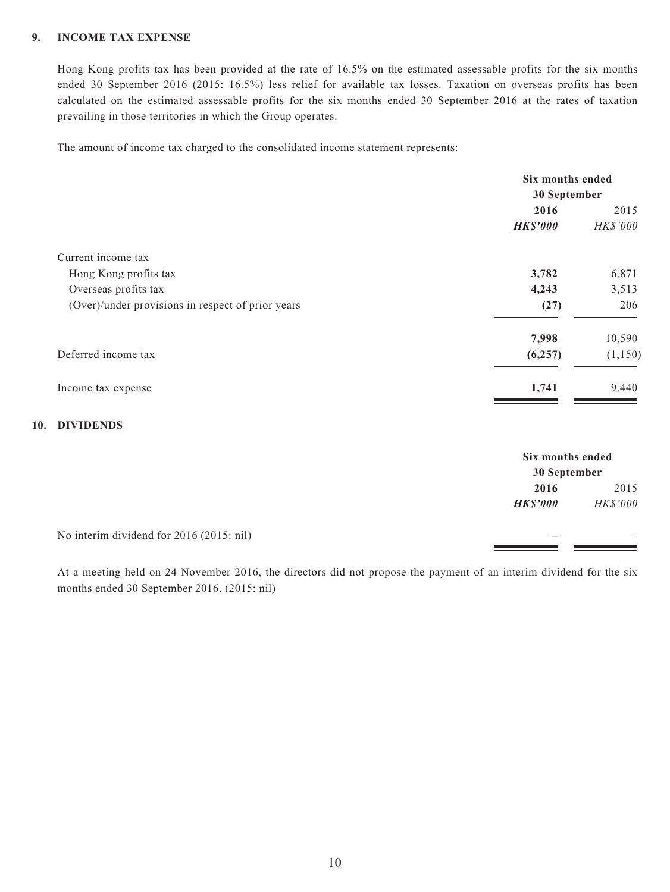#### **9. INCOME TAX EXPENSE**

Hong Kong profits tax has been provided at the rate of 16.5% on the estimated assessable profits for the six months ended 30 September 2016 (2015: 16.5%) less relief for available tax losses. Taxation on overseas profits has been calculated on the estimated assessable profits for the six months ended 30 September 2016 at the rates of taxation prevailing in those territories in which the Group operates.

The amount of income tax charged to the consolidated income statement represents:

|                                                   | Six months ended |                 |
|---------------------------------------------------|------------------|-----------------|
|                                                   | 30 September     |                 |
|                                                   | 2016             |                 |
|                                                   | <b>HK\$'000</b>  | <b>HK\$'000</b> |
| Current income tax                                |                  |                 |
| Hong Kong profits tax                             | 3,782            | 6,871           |
| Overseas profits tax                              | 4,243            | 3,513           |
| (Over)/under provisions in respect of prior years | (27)             | 206             |
|                                                   | 7,998            | 10,590          |
| Deferred income tax                               | (6,257)          | (1,150)         |
| Income tax expense                                | 1,741            | 9,440           |

#### **10. DIVIDENDS**

|                                          |                 | Six months ended<br>30 September |  |
|------------------------------------------|-----------------|----------------------------------|--|
|                                          |                 |                                  |  |
|                                          | 2016            | 2015                             |  |
|                                          | <b>HK\$'000</b> | <b>HK\$'000</b>                  |  |
| No interim dividend for 2016 (2015: nil) |                 |                                  |  |

At a meeting held on 24 November 2016, the directors did not propose the payment of an interim dividend for the six months ended 30 September 2016. (2015: nil)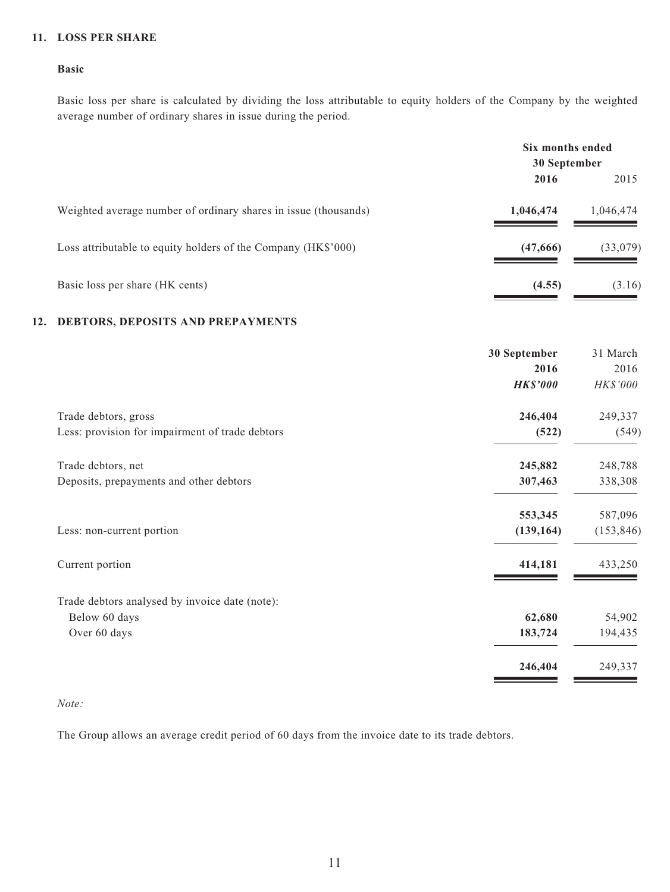#### **11. LOSS PER SHARE**

#### **Basic**

Basic loss per share is calculated by dividing the loss attributable to equity holders of the Company by the weighted average number of ordinary shares in issue during the period.

|                                                                 | Six months ended<br>30 September |           |
|-----------------------------------------------------------------|----------------------------------|-----------|
|                                                                 |                                  |           |
|                                                                 | 2016                             | 2015      |
| Weighted average number of ordinary shares in issue (thousands) | 1,046,474                        | 1,046,474 |
| Loss attributable to equity holders of the Company (HK\$'000)   | (47,666)                         | (33,079)  |
| Basic loss per share (HK cents)                                 | (4.55)                           | (3.16)    |

#### **12. DEBTORS, DEPOSITS AND PREPAYMENTS**

|                                                 | 30 September    | 31 March   |
|-------------------------------------------------|-----------------|------------|
|                                                 | 2016            | 2016       |
|                                                 | <b>HK\$'000</b> | HK\$'000   |
| Trade debtors, gross                            | 246,404         | 249,337    |
| Less: provision for impairment of trade debtors | (522)           | (549)      |
| Trade debtors, net                              | 245,882         | 248,788    |
| Deposits, prepayments and other debtors         | 307,463         | 338,308    |
|                                                 | 553,345         | 587,096    |
| Less: non-current portion                       | (139, 164)      | (153, 846) |
| Current portion                                 | 414,181         | 433,250    |
| Trade debtors analysed by invoice date (note):  |                 |            |
| Below 60 days                                   | 62,680          | 54,902     |
| Over 60 days                                    | 183,724         | 194,435    |
|                                                 | 246,404         | 249,337    |

#### *Note:*

The Group allows an average credit period of 60 days from the invoice date to its trade debtors.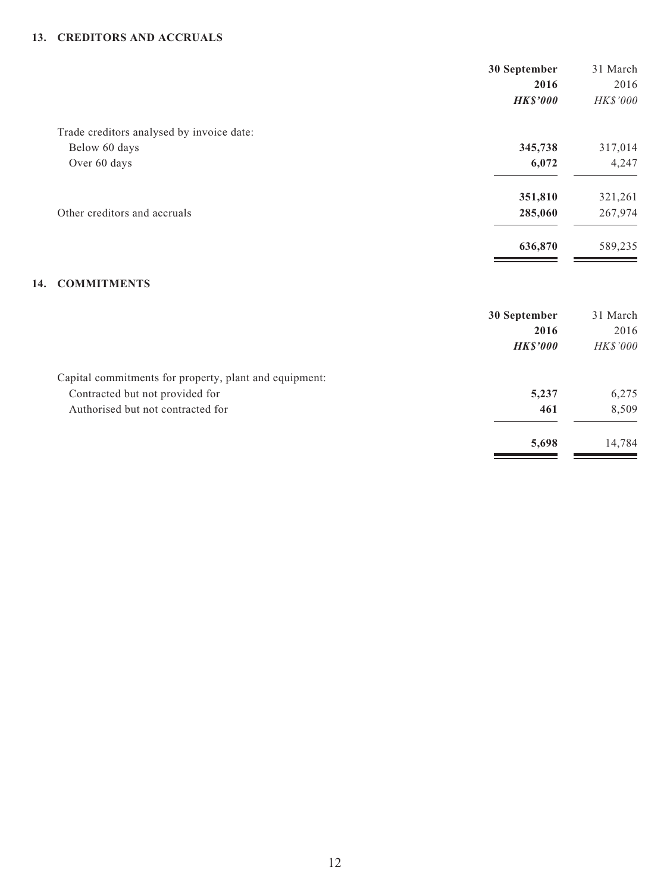#### **13. CREDITORS AND ACCRUALS**

|     |                                                        | 30 September    | 31 March |
|-----|--------------------------------------------------------|-----------------|----------|
|     |                                                        | 2016            | 2016     |
|     |                                                        | <b>HK\$'000</b> | HK\$'000 |
|     | Trade creditors analysed by invoice date:              |                 |          |
|     | Below 60 days                                          | 345,738         | 317,014  |
|     | Over 60 days                                           | 6,072           | 4,247    |
|     |                                                        | 351,810         | 321,261  |
|     | Other creditors and accruals                           | 285,060         | 267,974  |
|     |                                                        | 636,870         | 589,235  |
| 14. | <b>COMMITMENTS</b>                                     |                 |          |
|     |                                                        | 30 September    | 31 March |
|     |                                                        | 2016            | 2016     |
|     |                                                        | <b>HK\$'000</b> | HK\$'000 |
|     | Capital commitments for property, plant and equipment: |                 |          |
|     | Contracted but not provided for                        | 5,237           | 6,275    |
|     | Authorised but not contracted for                      | 461             | 8,509    |
|     |                                                        | 5,698           | 14,784   |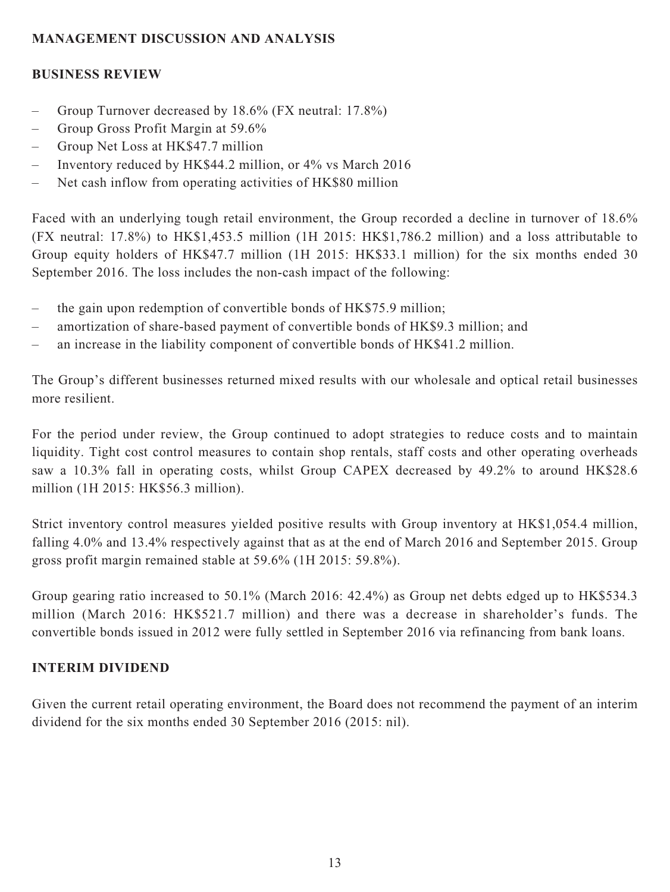## **MANAGEMENT DISCUSSION AND ANALYSIS**

## **BUSINESS REVIEW**

- Group Turnover decreased by 18.6% (FX neutral: 17.8%)
- Group Gross Profit Margin at 59.6%
- Group Net Loss at HK\$47.7 million
- Inventory reduced by HK\$44.2 million, or 4% vs March 2016
- Net cash inflow from operating activities of HK\$80 million

Faced with an underlying tough retail environment, the Group recorded a decline in turnover of 18.6% (FX neutral: 17.8%) to HK\$1,453.5 million (1H 2015: HK\$1,786.2 million) and a loss attributable to Group equity holders of HK\$47.7 million (1H 2015: HK\$33.1 million) for the six months ended 30 September 2016. The loss includes the non-cash impact of the following:

- the gain upon redemption of convertible bonds of HK\$75.9 million;
- amortization of share-based payment of convertible bonds of HK\$9.3 million; and
- an increase in the liability component of convertible bonds of HK\$41.2 million.

The Group's different businesses returned mixed results with our wholesale and optical retail businesses more resilient.

For the period under review, the Group continued to adopt strategies to reduce costs and to maintain liquidity. Tight cost control measures to contain shop rentals, staff costs and other operating overheads saw a 10.3% fall in operating costs, whilst Group CAPEX decreased by 49.2% to around HK\$28.6 million (1H 2015: HK\$56.3 million).

Strict inventory control measures yielded positive results with Group inventory at HK\$1,054.4 million, falling 4.0% and 13.4% respectively against that as at the end of March 2016 and September 2015. Group gross profit margin remained stable at 59.6% (1H 2015: 59.8%).

Group gearing ratio increased to 50.1% (March 2016: 42.4%) as Group net debts edged up to HK\$534.3 million (March 2016: HK\$521.7 million) and there was a decrease in shareholder's funds. The convertible bonds issued in 2012 were fully settled in September 2016 via refinancing from bank loans.

# **INTERIM DIVIDEND**

Given the current retail operating environment, the Board does not recommend the payment of an interim dividend for the six months ended 30 September 2016 (2015: nil).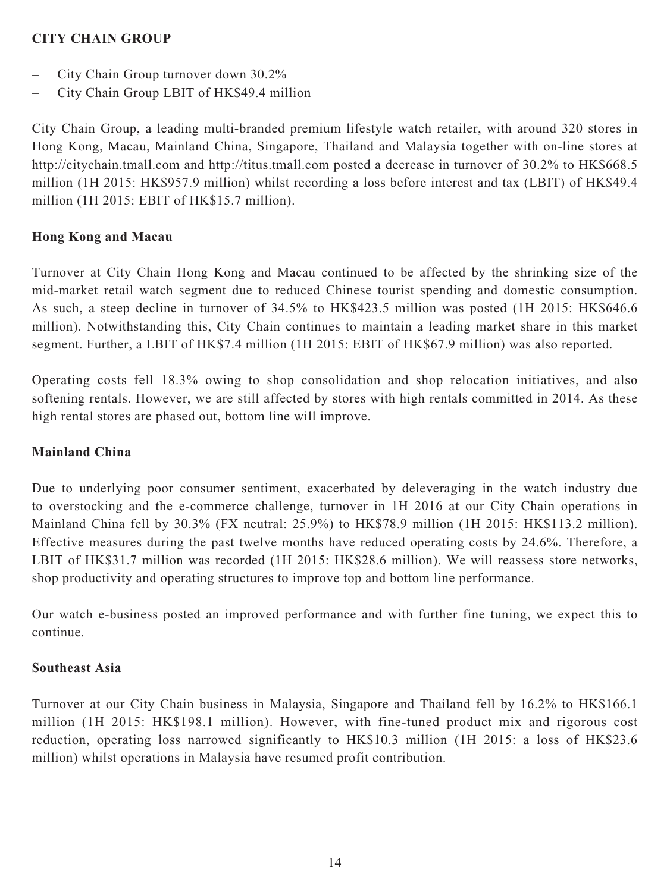### **CITY CHAIN GROUP**

- City Chain Group turnover down 30.2%
- City Chain Group LBIT of HK\$49.4 million

City Chain Group, a leading multi-branded premium lifestyle watch retailer, with around 320 stores in Hong Kong, Macau, Mainland China, Singapore, Thailand and Malaysia together with on-line stores at http://citychain.tmall.com and http://titus.tmall.com posted a decrease in turnover of 30.2% to HK\$668.5 million (1H 2015: HK\$957.9 million) whilst recording a loss before interest and tax (LBIT) of HK\$49.4 million (1H 2015: EBIT of HK\$15.7 million).

### **Hong Kong and Macau**

Turnover at City Chain Hong Kong and Macau continued to be affected by the shrinking size of the mid-market retail watch segment due to reduced Chinese tourist spending and domestic consumption. As such, a steep decline in turnover of 34.5% to HK\$423.5 million was posted (1H 2015: HK\$646.6 million). Notwithstanding this, City Chain continues to maintain a leading market share in this market segment. Further, a LBIT of HK\$7.4 million (1H 2015: EBIT of HK\$67.9 million) was also reported.

Operating costs fell 18.3% owing to shop consolidation and shop relocation initiatives, and also softening rentals. However, we are still affected by stores with high rentals committed in 2014. As these high rental stores are phased out, bottom line will improve.

### **Mainland China**

Due to underlying poor consumer sentiment, exacerbated by deleveraging in the watch industry due to overstocking and the e-commerce challenge, turnover in 1H 2016 at our City Chain operations in Mainland China fell by 30.3% (FX neutral: 25.9%) to HK\$78.9 million (1H 2015: HK\$113.2 million). Effective measures during the past twelve months have reduced operating costs by 24.6%. Therefore, a LBIT of HK\$31.7 million was recorded (1H 2015: HK\$28.6 million). We will reassess store networks, shop productivity and operating structures to improve top and bottom line performance.

Our watch e-business posted an improved performance and with further fine tuning, we expect this to continue.

#### **Southeast Asia**

Turnover at our City Chain business in Malaysia, Singapore and Thailand fell by 16.2% to HK\$166.1 million (1H 2015: HK\$198.1 million). However, with fine-tuned product mix and rigorous cost reduction, operating loss narrowed significantly to HK\$10.3 million (1H 2015: a loss of HK\$23.6 million) whilst operations in Malaysia have resumed profit contribution.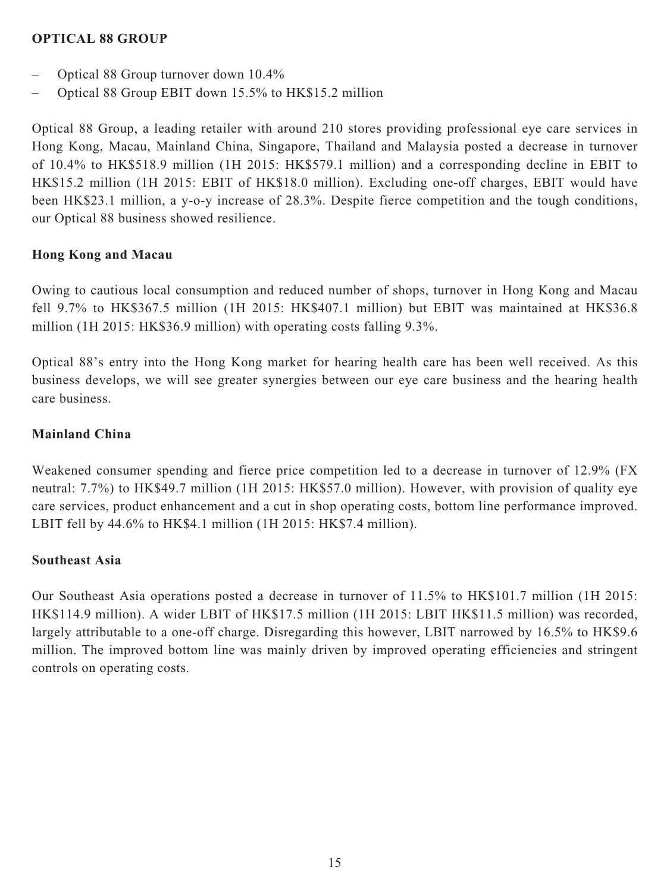### **OPTICAL 88 GROUP**

- Optical 88 Group turnover down 10.4%
- Optical 88 Group EBIT down 15.5% to HK\$15.2 million

Optical 88 Group, a leading retailer with around 210 stores providing professional eye care services in Hong Kong, Macau, Mainland China, Singapore, Thailand and Malaysia posted a decrease in turnover of 10.4% to HK\$518.9 million (1H 2015: HK\$579.1 million) and a corresponding decline in EBIT to HK\$15.2 million (1H 2015: EBIT of HK\$18.0 million). Excluding one-off charges, EBIT would have been HK\$23.1 million, a y-o-y increase of 28.3%. Despite fierce competition and the tough conditions, our Optical 88 business showed resilience.

# **Hong Kong and Macau**

Owing to cautious local consumption and reduced number of shops, turnover in Hong Kong and Macau fell 9.7% to HK\$367.5 million (1H 2015: HK\$407.1 million) but EBIT was maintained at HK\$36.8 million (1H 2015: HK\$36.9 million) with operating costs falling 9.3%.

Optical 88's entry into the Hong Kong market for hearing health care has been well received. As this business develops, we will see greater synergies between our eye care business and the hearing health care business.

### **Mainland China**

Weakened consumer spending and fierce price competition led to a decrease in turnover of 12.9% (FX neutral: 7.7%) to HK\$49.7 million (1H 2015: HK\$57.0 million). However, with provision of quality eye care services, product enhancement and a cut in shop operating costs, bottom line performance improved. LBIT fell by 44.6% to HK\$4.1 million (1H 2015: HK\$7.4 million).

### **Southeast Asia**

Our Southeast Asia operations posted a decrease in turnover of 11.5% to HK\$101.7 million (1H 2015: HK\$114.9 million). A wider LBIT of HK\$17.5 million (1H 2015: LBIT HK\$11.5 million) was recorded, largely attributable to a one-off charge. Disregarding this however, LBIT narrowed by 16.5% to HK\$9.6 million. The improved bottom line was mainly driven by improved operating efficiencies and stringent controls on operating costs.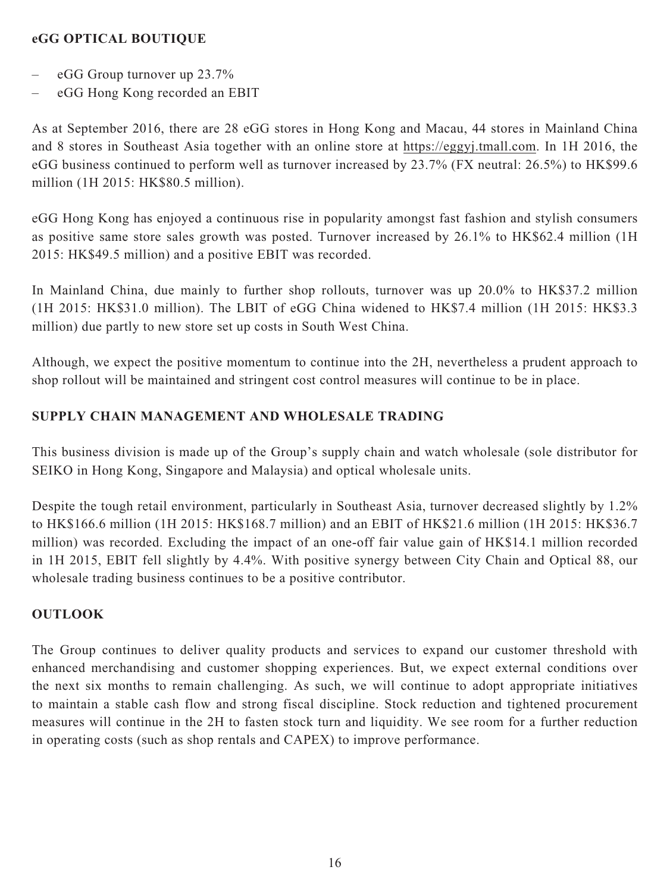### **eGG OPTICAL BOUTIQUE**

- eGG Group turnover up 23.7%
- eGG Hong Kong recorded an EBIT

As at September 2016, there are 28 eGG stores in Hong Kong and Macau, 44 stores in Mainland China and 8 stores in Southeast Asia together with an online store at https://eggyj.tmall.com. In 1H 2016, the eGG business continued to perform well as turnover increased by 23.7% (FX neutral: 26.5%) to HK\$99.6 million (1H 2015: HK\$80.5 million).

eGG Hong Kong has enjoyed a continuous rise in popularity amongst fast fashion and stylish consumers as positive same store sales growth was posted. Turnover increased by 26.1% to HK\$62.4 million (1H 2015: HK\$49.5 million) and a positive EBIT was recorded.

In Mainland China, due mainly to further shop rollouts, turnover was up 20.0% to HK\$37.2 million (1H 2015: HK\$31.0 million). The LBIT of eGG China widened to HK\$7.4 million (1H 2015: HK\$3.3 million) due partly to new store set up costs in South West China.

Although, we expect the positive momentum to continue into the 2H, nevertheless a prudent approach to shop rollout will be maintained and stringent cost control measures will continue to be in place.

# **SUPPLY CHAIN MANAGEMENT AND WHOLESALE TRADING**

This business division is made up of the Group's supply chain and watch wholesale (sole distributor for SEIKO in Hong Kong, Singapore and Malaysia) and optical wholesale units.

Despite the tough retail environment, particularly in Southeast Asia, turnover decreased slightly by 1.2% to HK\$166.6 million (1H 2015: HK\$168.7 million) and an EBIT of HK\$21.6 million (1H 2015: HK\$36.7 million) was recorded. Excluding the impact of an one-off fair value gain of HK\$14.1 million recorded in 1H 2015, EBIT fell slightly by 4.4%. With positive synergy between City Chain and Optical 88, our wholesale trading business continues to be a positive contributor.

# **OUTLOOK**

The Group continues to deliver quality products and services to expand our customer threshold with enhanced merchandising and customer shopping experiences. But, we expect external conditions over the next six months to remain challenging. As such, we will continue to adopt appropriate initiatives to maintain a stable cash flow and strong fiscal discipline. Stock reduction and tightened procurement measures will continue in the 2H to fasten stock turn and liquidity. We see room for a further reduction in operating costs (such as shop rentals and CAPEX) to improve performance.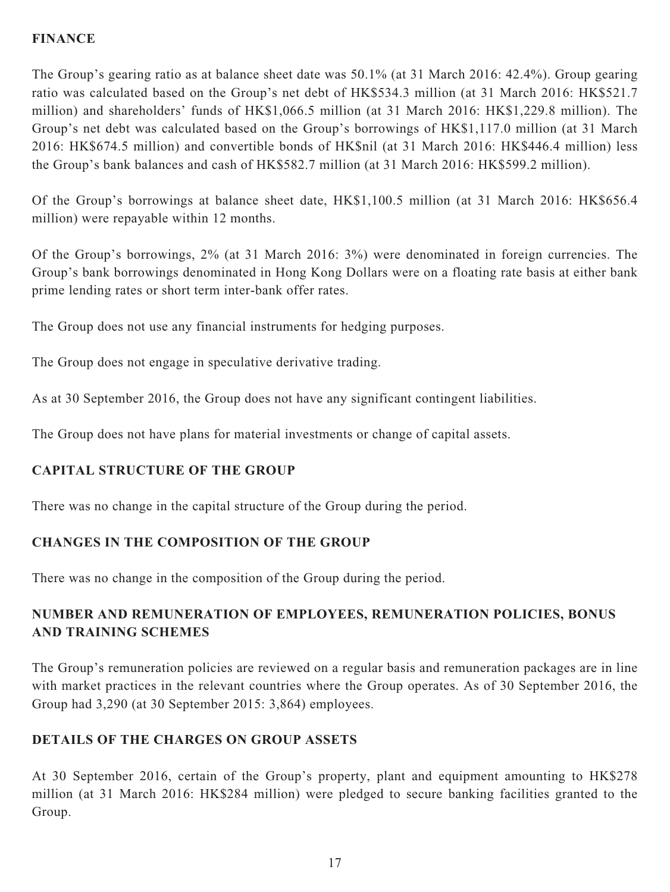### **FINANCE**

The Group's gearing ratio as at balance sheet date was 50.1% (at 31 March 2016: 42.4%). Group gearing ratio was calculated based on the Group's net debt of HK\$534.3 million (at 31 March 2016: HK\$521.7 million) and shareholders' funds of HK\$1,066.5 million (at 31 March 2016: HK\$1,229.8 million). The Group's net debt was calculated based on the Group's borrowings of HK\$1,117.0 million (at 31 March 2016: HK\$674.5 million) and convertible bonds of HK\$nil (at 31 March 2016: HK\$446.4 million) less the Group's bank balances and cash of HK\$582.7 million (at 31 March 2016: HK\$599.2 million).

Of the Group's borrowings at balance sheet date, HK\$1,100.5 million (at 31 March 2016: HK\$656.4 million) were repayable within 12 months.

Of the Group's borrowings, 2% (at 31 March 2016: 3%) were denominated in foreign currencies. The Group's bank borrowings denominated in Hong Kong Dollars were on a floating rate basis at either bank prime lending rates or short term inter-bank offer rates.

The Group does not use any financial instruments for hedging purposes.

The Group does not engage in speculative derivative trading.

As at 30 September 2016, the Group does not have any significant contingent liabilities.

The Group does not have plans for material investments or change of capital assets.

# **CAPITAL STRUCTURE OF THE GROUP**

There was no change in the capital structure of the Group during the period.

# **CHANGES IN THE COMPOSITION OF THE GROUP**

There was no change in the composition of the Group during the period.

# **NUMBER AND REMUNERATION OF EMPLOYEES, REMUNERATION POLICIES, BONUS AND TRAINING SCHEMES**

The Group's remuneration policies are reviewed on a regular basis and remuneration packages are in line with market practices in the relevant countries where the Group operates. As of 30 September 2016, the Group had 3,290 (at 30 September 2015: 3,864) employees.

# **DETAILS OF THE CHARGES ON GROUP ASSETS**

At 30 September 2016, certain of the Group's property, plant and equipment amounting to HK\$278 million (at 31 March 2016: HK\$284 million) were pledged to secure banking facilities granted to the Group.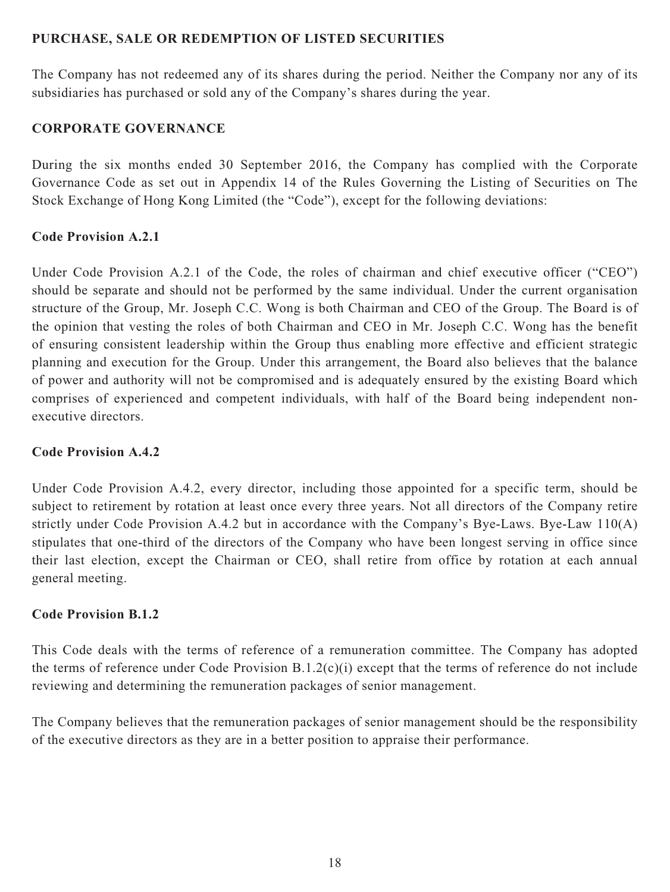### **PURCHASE, SALE OR REDEMPTION OF LISTED SECURITIES**

The Company has not redeemed any of its shares during the period. Neither the Company nor any of its subsidiaries has purchased or sold any of the Company's shares during the year.

## **CORPORATE GOVERNANCE**

During the six months ended 30 September 2016, the Company has complied with the Corporate Governance Code as set out in Appendix 14 of the Rules Governing the Listing of Securities on The Stock Exchange of Hong Kong Limited (the "Code"), except for the following deviations:

### **Code Provision A.2.1**

Under Code Provision A.2.1 of the Code, the roles of chairman and chief executive officer ("CEO") should be separate and should not be performed by the same individual. Under the current organisation structure of the Group, Mr. Joseph C.C. Wong is both Chairman and CEO of the Group. The Board is of the opinion that vesting the roles of both Chairman and CEO in Mr. Joseph C.C. Wong has the benefit of ensuring consistent leadership within the Group thus enabling more effective and efficient strategic planning and execution for the Group. Under this arrangement, the Board also believes that the balance of power and authority will not be compromised and is adequately ensured by the existing Board which comprises of experienced and competent individuals, with half of the Board being independent nonexecutive directors.

### **Code Provision A.4.2**

Under Code Provision A.4.2, every director, including those appointed for a specific term, should be subject to retirement by rotation at least once every three years. Not all directors of the Company retire strictly under Code Provision A.4.2 but in accordance with the Company's Bye-Laws. Bye-Law 110(A) stipulates that one-third of the directors of the Company who have been longest serving in office since their last election, except the Chairman or CEO, shall retire from office by rotation at each annual general meeting.

### **Code Provision B.1.2**

This Code deals with the terms of reference of a remuneration committee. The Company has adopted the terms of reference under Code Provision B.1.2(c)(i) except that the terms of reference do not include reviewing and determining the remuneration packages of senior management.

The Company believes that the remuneration packages of senior management should be the responsibility of the executive directors as they are in a better position to appraise their performance.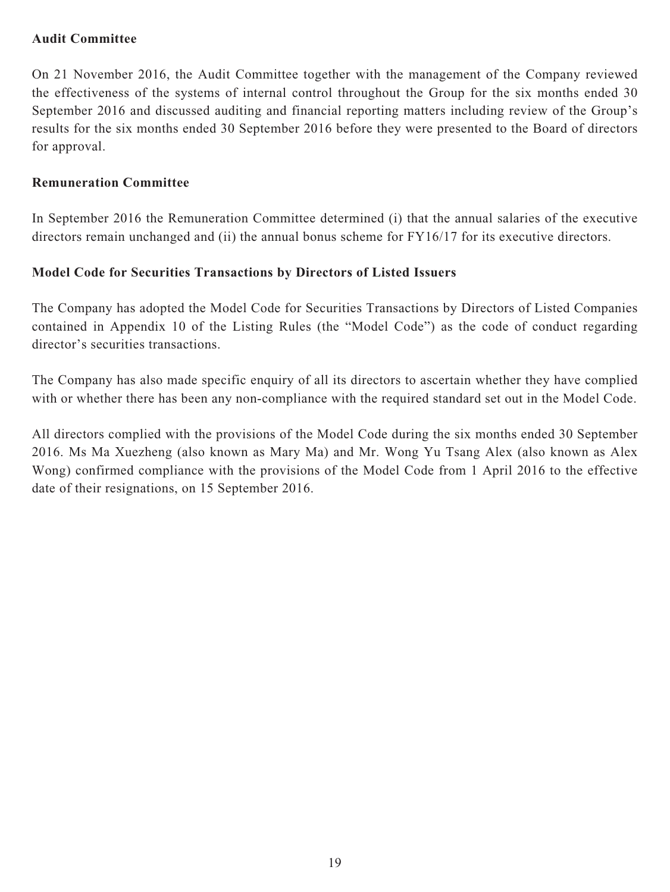### **Audit Committee**

On 21 November 2016, the Audit Committee together with the management of the Company reviewed the effectiveness of the systems of internal control throughout the Group for the six months ended 30 September 2016 and discussed auditing and financial reporting matters including review of the Group's results for the six months ended 30 September 2016 before they were presented to the Board of directors for approval.

#### **Remuneration Committee**

In September 2016 the Remuneration Committee determined (i) that the annual salaries of the executive directors remain unchanged and (ii) the annual bonus scheme for FY16/17 for its executive directors.

#### **Model Code for Securities Transactions by Directors of Listed Issuers**

The Company has adopted the Model Code for Securities Transactions by Directors of Listed Companies contained in Appendix 10 of the Listing Rules (the "Model Code") as the code of conduct regarding director's securities transactions.

The Company has also made specific enquiry of all its directors to ascertain whether they have complied with or whether there has been any non-compliance with the required standard set out in the Model Code.

All directors complied with the provisions of the Model Code during the six months ended 30 September 2016. Ms Ma Xuezheng (also known as Mary Ma) and Mr. Wong Yu Tsang Alex (also known as Alex Wong) confirmed compliance with the provisions of the Model Code from 1 April 2016 to the effective date of their resignations, on 15 September 2016.